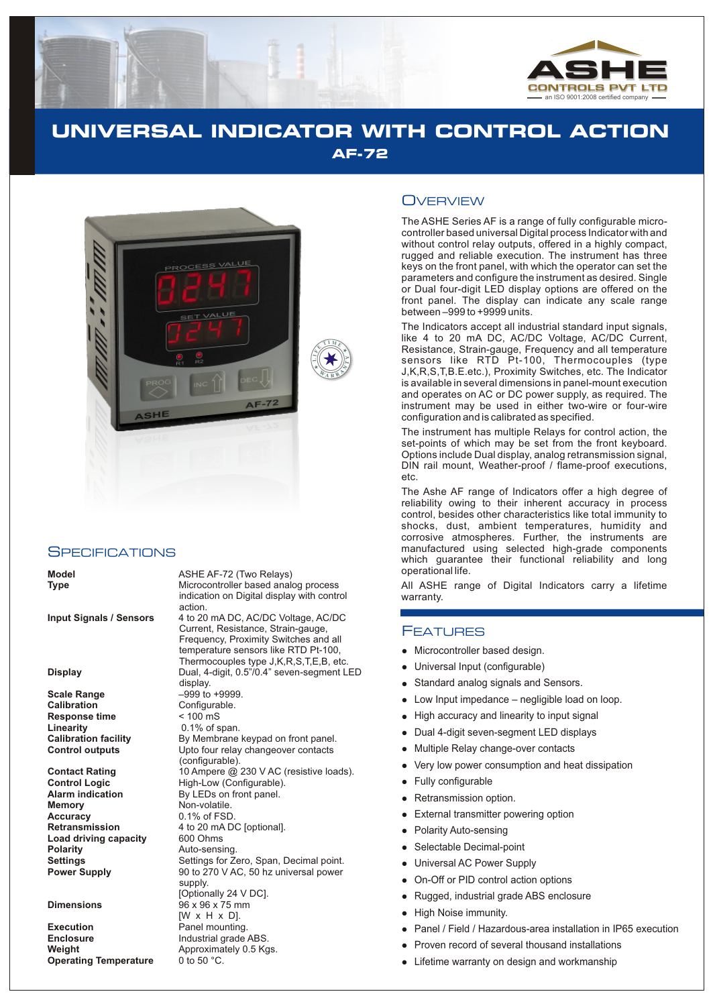

# **UNIVERSAL INDICATOR WITH CONTROL ACTION AF-72**



#### **SPECIFICATIONS**

**Scale Range**  $-999$  to +9999.<br>**Calibration** Configurable. **Response time**  $\leq 100 \text{ mS}$ <br> **Linearity** 0.1% of s **Linearity** 0.1% of span.<br> **Calibration facility** By Membrane

**Accuracy** 0.1% of FSD.<br>**Retransmission** 4 to 20 mA D **Load driving capacity**<br>Polarity

**Execution**<br> **Enclosure**<br> **Enclosure**<br> **Enclosure**<br> **Enclosure**<br> **Enclosure Enclosure** Industrial grade ABS.<br> **Weight Approximately 0.5 Kg Operating Temperature** 

**Model** ASHE AF-72 (Two Relays) **Type** Microcontroller based analog process indication on Digital display with control action.

**Input Signals / Sensors** 4 to 20 mA DC, AC/DC Voltage, AC/DC Current, Resistance, Strain-gauge, Frequency, Proximity Switches and all temperature sensors like RTD Pt-100, Thermocouples type J,K,R,S,T,E,B, etc. **Display** Dual, 4-digit, 0.5"/0.4" seven-segment LED display. Configurable. By Membrane keypad on front panel. **Control outputs** Upto four relay changeover contacts (configurable). **Contact Rating** 10 Ampere @ 230 V AC (resistive loads).<br> **Control Logic Contiguistion** High-Low (Configurable). **High-Low (Configurable). Alarm indication** By LEDs on front panel.<br>**Memory Non-volatile. Memory** Non-volatile. 4 to 20 mA DC [optional].<br>600 Ohms Auto-sensing. **Settings** Settings for Zero, Span, Decimal point.<br> **Power Supply** 90 to 270 V AC, 50 hz universal power 90 to 270 V AC, 50 hz universal power supply. [Optionally 24 V DC]. **Dimensions** 96 x 96 x 75 mm [W x H x D]. Approximately 0.5 Kgs.<br>0 to 50 °C.

### **OVERVIEW**

The ASHE Series AF is a range of fully configurable microcontroller based universal Digital process Indicator with and without control relay outputs, offered in a highly compact, rugged and reliable execution. The instrument has three keys on the front panel, with which the operator can set the parameters and configure the instrument as desired. Single or Dual four-digit LED display options are offered on the front panel. The display can indicate any scale range between –999 to +9999 units.

The Indicators accept all industrial standard input signals, like 4 to 20 mA DC, AC/DC Voltage, AC/DC Current, Resistance, Strain-gauge, Frequency and all temperature sensors like RTD Pt-100, Thermocouples (type J,K,R,S,T,B.E.etc.), Proximity Switches, etc. The Indicator is available in several dimensions in panel-mount execution and operates on AC or DC power supply, as required. The instrument may be used in either two-wire or four-wire configuration and is calibrated as specified.

The instrument has multiple Relays for control action, the set-points of which may be set from the front keyboard. Options include Dual display, analog retransmission signal, DIN rail mount, Weather-proof / flame-proof executions, etc.

The Ashe AF range of Indicators offer a high degree of reliability owing to their inherent accuracy in process control, besides other characteristics like total immunity to shocks, dust, ambient temperatures, humidity and corrosive atmospheres. Further, the instruments are manufactured using selected high-grade components which guarantee their functional reliability and long operational life.

All ASHE range of Digital Indicators carry a lifetime warranty.

#### FEATURES

- Microcontroller based design.
- Universal Input (configurable)
- Micro Univer Univer Univer Univer Univer Univer Univer Univer Univer Univer Univer Univer Univer Univer Univer Univer Univer Univer Univer Univer Univer Univer Univer Univ Standard analog signals and Sensors.
- Low Input impedance negligible load on loop.
- High accuracy and linearity to input signal
- Dual 4-digit seven-segment LED displays  $\bullet$
- Multiple Relay change-over contacts
- Very low power consumption and heat dissipation
- Fully configurable  $\bullet$
- Retransmission option.
- External transmitter powering option  $\bullet$
- Polarity Auto-sensing
- Selectable Decimal-point
- Universal AC Power Supply
- On-Off or PID control action options  $\bullet$
- Rugged, industrial grade ABS enclosure  $\bullet$
- High Noise immunity.  $\bullet$
- Panel / Field / Hazardous-area installation in IP65 execution  $\bullet$
- Proven record of several thousand installations
- Lifetime warranty on design and workmanship